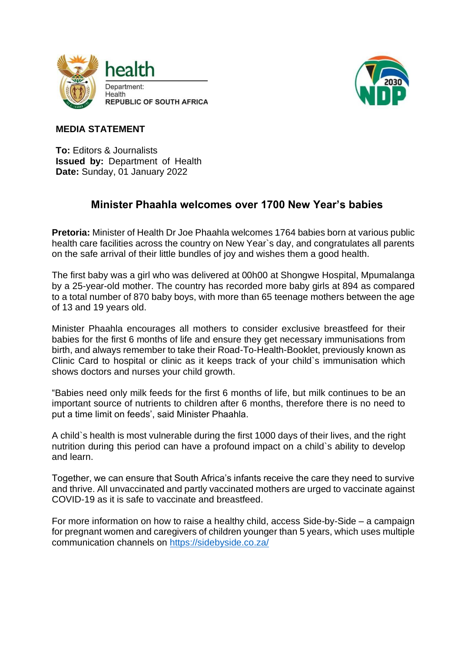



## **MEDIA STATEMENT**

**To:** Editors & Journalists **Issued by:** Department of Health **Date:** Sunday, 01 January 2022

## **Minister Phaahla welcomes over 1700 New Year's babies**

**Pretoria:** Minister of Health Dr Joe Phaahla welcomes 1764 babies born at various public health care facilities across the country on New Year`s day, and congratulates all parents on the safe arrival of their little bundles of joy and wishes them a good health.

The first baby was a girl who was delivered at 00h00 at Shongwe Hospital, Mpumalanga by a 25-year-old mother. The country has recorded more baby girls at 894 as compared to a total number of 870 baby boys, with more than 65 teenage mothers between the age of 13 and 19 years old.

Minister Phaahla encourages all mothers to consider exclusive breastfeed for their babies for the first 6 months of life and ensure they get necessary immunisations from birth, and always remember to take their Road-To-Health-Booklet, previously known as Clinic Card to hospital or clinic as it keeps track of your child`s immunisation which shows doctors and nurses your child growth.

"Babies need only milk feeds for the first 6 months of life, but milk continues to be an important source of nutrients to children after 6 months, therefore there is no need to put a time limit on feeds', said Minister Phaahla.

A child`s health is most vulnerable during the first 1000 days of their lives, and the right nutrition during this period can have a profound impact on a child`s ability to develop and learn.

Together, we can ensure that South Africa's infants receive the care they need to survive and thrive. All unvaccinated and partly vaccinated mothers are urged to vaccinate against COVID-19 as it is safe to vaccinate and breastfeed.

For more information on how to raise a healthy child, access Side-by-Side – a campaign for pregnant women and caregivers of children younger than 5 years, which uses multiple communication channels on<https://sidebyside.co.za/>